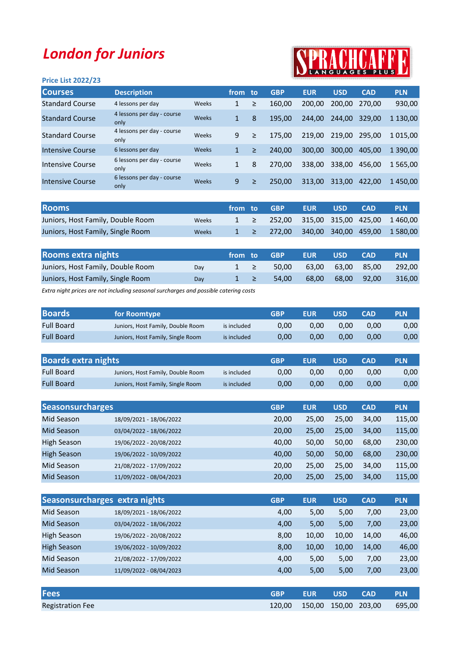## London for Juniors

## PRACHCARR **SPR**

| <b>Price List 2022/23</b> |                                    |       |              |        |            |            |            |            |               |
|---------------------------|------------------------------------|-------|--------------|--------|------------|------------|------------|------------|---------------|
| <b>Courses</b>            | <b>Description</b>                 |       | from to      |        | <b>GBP</b> | <b>EUR</b> | <b>USD</b> | <b>CAD</b> | <b>PLN</b>    |
| <b>Standard Course</b>    | 4 lessons per day                  | Weeks | 1            | ≥      | 160,00     | 200.00     | 200.00     | 270.00     | 930,00        |
| <b>Standard Course</b>    | 4 lessons per day - course<br>only | Weeks | 1            | 8      | 195.00     | 244.00     | 244.00     | 329.00     | 1 130,00      |
| <b>Standard Course</b>    | 4 lessons per day - course<br>only | Weeks | 9            | $\geq$ | 175.00     | 219.00     | 219.00     | 295.00     | 1 0 1 5 .0 0  |
| Intensive Course          | 6 lessons per day                  | Weeks | $\mathbf{1}$ | $\geq$ | 240.00     | 300,00     | 300.00     | 405.00     | 1 390.00      |
| Intensive Course          | 6 lessons per day - course<br>only | Weeks | 1            | 8      | 270,00     | 338.00     | 338,00     | 456,00     | 1 5 6 5 , 0 0 |
| Intensive Course          | 6 lessons per day - course<br>only | Weeks | 9            | $\geq$ | 250.00     | 313,00     | 313.00     | 422.00     | 1450,00       |

| <b>Rooms</b>                      |       |  | ' from to GBP                                                    | <b>LEUR</b> | <b>USD</b> | <b>CAD</b> | <b>PLN</b>                                   |
|-----------------------------------|-------|--|------------------------------------------------------------------|-------------|------------|------------|----------------------------------------------|
| Juniors, Host Family, Double Room | Weeks |  | $1 \geq 252,00 \leq 315,00 \leq 315,00 \leq 425,00 \leq 1460,00$ |             |            |            |                                              |
| Juniors, Host Family, Single Room | Weeks |  |                                                                  |             |            |            | $1 \geq 272,00$ 340,00 340,00 459,00 1580,00 |

| <b>Rooms extra nights</b>         |     | from to  | <b>GBP</b> | <b>EUR</b> | <b>USD</b>        | <b>CAD</b> | <b>PLN</b> |
|-----------------------------------|-----|----------|------------|------------|-------------------|------------|------------|
| Juniors, Host Family, Double Room | Dav | $1 \geq$ | 50.00      |            | 63,00 63,00 85,00 |            | 292.00     |
| Juniors, Host Family, Single Room | Dav | $1 \geq$ | 54.00      |            | 68.00 68.00       | 92.00      | - 316.00   |

Extra night prices are not including seasonal surcharges and possible catering costs

| <b>Boards</b>     | for Roomtype                      |             | GBP  | <b>EUR</b> | <b>USD</b> | <b>CAD</b> | <b>PLN</b> |
|-------------------|-----------------------------------|-------------|------|------------|------------|------------|------------|
| <b>Full Board</b> | Juniors, Host Family, Double Room | is included | 0.00 | 0.00       | 0.00       | 0.00       | 0,00       |
| <b>Full Board</b> | Juniors, Host Family, Single Room | is included | 0.00 | 0.00       | 0.00       | 0.00       | 0,00       |

| <b>Boards extra nights</b> |                                   |             | GBP  | <b>EUR</b> | USD  | CAD  | <b>PLN</b> |
|----------------------------|-----------------------------------|-------------|------|------------|------|------|------------|
| <b>Full Board</b>          | Juniors, Host Family, Double Room | is included | 0.00 | 0.00       | 0.00 | 0.00 | 0,00       |
| <b>Full Board</b>          | Juniors, Host Family, Single Room | is included | 0.00 | 0.00       | 0.00 | 0.00 | 0,00       |

| <b>Seasonsurcharges</b> |                         | <b>GBP</b> | <b>EUR</b> | <b>USD</b> | <b>CAD</b> | <b>PLN</b> |
|-------------------------|-------------------------|------------|------------|------------|------------|------------|
| Mid Season              | 18/09/2021 - 18/06/2022 | 20.00      | 25.00      | 25.00      | 34,00      | 115,00     |
| Mid Season              | 03/04/2022 - 18/06/2022 | 20,00      | 25,00      | 25,00      | 34,00      | 115,00     |
| <b>High Season</b>      | 19/06/2022 - 20/08/2022 | 40.00      | 50,00      | 50.00      | 68.00      | 230,00     |
| High Season             | 19/06/2022 - 10/09/2022 | 40.00      | 50,00      | 50.00      | 68.00      | 230,00     |
| Mid Season              | 21/08/2022 - 17/09/2022 | 20.00      | 25,00      | 25.00      | 34,00      | 115,00     |
| Mid Season              | 11/09/2022 - 08/04/2023 | 20,00      | 25,00      | 25,00      | 34,00      | 115,00     |

|                    | Seasonsurcharges extra nights | <b>GBP</b> | <b>EUR</b> | <b>USD</b> | <b>CAD</b> | <b>PLN</b> |
|--------------------|-------------------------------|------------|------------|------------|------------|------------|
| Mid Season         | 18/09/2021 - 18/06/2022       | 4,00       | 5,00       | 5,00       | 7,00       | 23,00      |
| <b>Mid Season</b>  | 03/04/2022 - 18/06/2022       | 4,00       | 5,00       | 5,00       | 7,00       | 23,00      |
| <b>High Season</b> | 19/06/2022 - 20/08/2022       | 8,00       | 10,00      | 10.00      | 14.00      | 46,00      |
| <b>High Season</b> | 19/06/2022 - 10/09/2022       | 8,00       | 10,00      | 10,00      | 14,00      | 46,00      |
| Mid Season         | 21/08/2022 - 17/09/2022       | 4,00       | 5,00       | 5,00       | 7,00       | 23,00      |
| Mid Season         | 11/09/2022 - 08/04/2023       | 4,00       | 5,00       | 5,00       | 7,00       | 23,00      |
|                    |                               |            |            |            |            |            |

| <b>Fees</b>             | <b>GRP</b>                  | <b>EUR</b> | <b>WISD</b> | <b>CAD</b> | <b>PLN</b> |
|-------------------------|-----------------------------|------------|-------------|------------|------------|
| <b>Registration Fee</b> | 120,00 150,00 150,00 203,00 |            |             |            | 695,00     |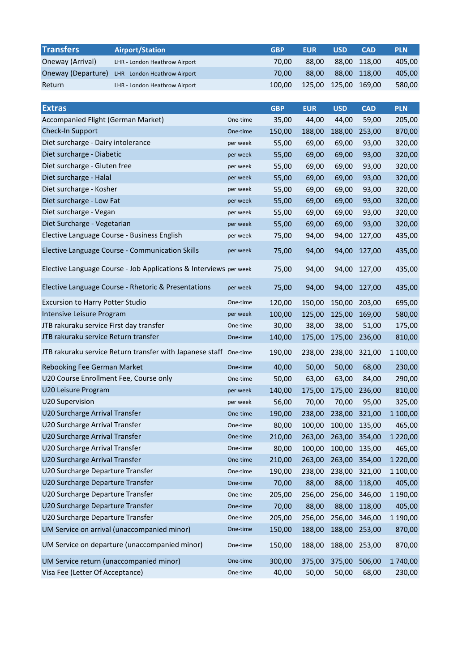| <b>Transfers</b>                        | <b>Airport/Station</b>                                            |          | <b>GBP</b> | <b>EUR</b> | <b>USD</b> | <b>CAD</b> | <b>PLN</b>    |
|-----------------------------------------|-------------------------------------------------------------------|----------|------------|------------|------------|------------|---------------|
| Oneway (Arrival)                        | LHR - London Heathrow Airport                                     |          | 70,00      | 88,00      | 88,00      | 118,00     | 405,00        |
| Oneway (Departure)                      | LHR - London Heathrow Airport                                     |          | 70,00      | 88,00      | 88,00      | 118,00     | 405,00        |
| Return                                  | LHR - London Heathrow Airport                                     |          | 100,00     | 125,00     | 125,00     | 169,00     | 580,00        |
|                                         |                                                                   |          |            |            |            |            |               |
| <b>Extras</b>                           |                                                                   |          | <b>GBP</b> | <b>EUR</b> | <b>USD</b> | <b>CAD</b> | <b>PLN</b>    |
| Accompanied Flight (German Market)      |                                                                   | One-time | 35,00      | 44,00      | 44,00      | 59,00      | 205,00        |
| Check-In Support                        |                                                                   | One-time | 150,00     | 188,00     | 188,00     | 253,00     | 870,00        |
| Diet surcharge - Dairy intolerance      |                                                                   | per week | 55,00      | 69,00      | 69,00      | 93,00      | 320,00        |
| Diet surcharge - Diabetic               |                                                                   | per week | 55,00      | 69,00      | 69,00      | 93,00      | 320,00        |
| Diet surcharge - Gluten free            |                                                                   | per week | 55,00      | 69,00      | 69,00      | 93,00      | 320,00        |
| Diet surcharge - Halal                  |                                                                   | per week | 55,00      | 69,00      | 69,00      | 93,00      | 320,00        |
| Diet surcharge - Kosher                 |                                                                   | per week | 55,00      | 69,00      | 69,00      | 93,00      | 320,00        |
| Diet surcharge - Low Fat                |                                                                   | per week | 55,00      | 69,00      | 69,00      | 93,00      | 320,00        |
| Diet surcharge - Vegan                  |                                                                   | per week | 55,00      | 69,00      | 69,00      | 93,00      | 320,00        |
| Diet Surcharge - Vegetarian             |                                                                   | per week | 55,00      | 69,00      | 69,00      | 93,00      | 320,00        |
|                                         | Elective Language Course - Business English                       | per week | 75,00      | 94,00      | 94,00      | 127,00     | 435,00        |
|                                         | Elective Language Course - Communication Skills                   | per week | 75,00      | 94,00      | 94,00      | 127,00     | 435,00        |
|                                         | Elective Language Course - Job Applications & Interviews per week |          | 75,00      | 94,00      | 94,00      | 127,00     | 435,00        |
|                                         | Elective Language Course - Rhetoric & Presentations               | per week | 75,00      | 94,00      | 94,00      | 127,00     | 435,00        |
| <b>Excursion to Harry Potter Studio</b> |                                                                   | One-time | 120,00     | 150,00     | 150,00     | 203,00     | 695,00        |
| Intensive Leisure Program               |                                                                   | per week | 100,00     | 125,00     | 125,00     | 169,00     | 580,00        |
| JTB rakuraku service First day transfer |                                                                   | One-time | 30,00      | 38,00      | 38,00      | 51,00      | 175,00        |
| JTB rakuraku service Return transfer    |                                                                   | One-time | 140,00     | 175,00     | 175,00     | 236,00     | 810,00        |
|                                         | JTB rakuraku service Return transfer with Japanese staff One-time |          | 190,00     | 238,00     | 238,00     | 321,00     | 1 100,00      |
| Rebooking Fee German Market             |                                                                   | One-time | 40,00      | 50,00      | 50,00      | 68,00      | 230,00        |
| U20 Course Enrollment Fee, Course only  |                                                                   | One-time | 50,00      | 63,00      | 63,00      | 84,00      | 290,00        |
| U20 Leisure Program                     |                                                                   | per week | 140,00     | 175,00     | 175,00     | 236,00     | 810,00        |
| U20 Supervision                         |                                                                   | per week | 56,00      | 70,00      | 70,00      | 95,00      | 325,00        |
| U20 Surcharge Arrival Transfer          |                                                                   | One-time | 190,00     | 238,00     | 238,00     | 321,00     | 1 100,00      |
| U20 Surcharge Arrival Transfer          |                                                                   | One-time | 80,00      | 100,00     | 100,00     | 135,00     | 465,00        |
| U20 Surcharge Arrival Transfer          |                                                                   | One-time | 210,00     | 263,00     | 263,00     | 354,00     | 1 2 2 0 , 0 0 |
| U20 Surcharge Arrival Transfer          |                                                                   | One-time | 80,00      | 100,00     | 100,00     | 135,00     | 465,00        |
| U20 Surcharge Arrival Transfer          |                                                                   | One-time | 210,00     | 263,00     | 263,00     | 354,00     | 1 2 2 0 , 0 0 |
| U20 Surcharge Departure Transfer        |                                                                   | One-time | 190,00     | 238,00     | 238,00     | 321,00     | 1 100,00      |
| U20 Surcharge Departure Transfer        |                                                                   | One-time | 70,00      | 88,00      | 88,00      | 118,00     | 405,00        |
| U20 Surcharge Departure Transfer        |                                                                   | One-time | 205,00     | 256,00     | 256,00     | 346,00     | 1 190,00      |
| U20 Surcharge Departure Transfer        |                                                                   | One-time | 70,00      | 88,00      | 88,00      | 118,00     | 405,00        |
| U20 Surcharge Departure Transfer        |                                                                   | One-time | 205,00     | 256,00     | 256,00     | 346,00     | 1 190,00      |
|                                         | UM Service on arrival (unaccompanied minor)                       | One-time | 150,00     | 188,00     | 188,00     | 253,00     | 870,00        |
|                                         | UM Service on departure (unaccompanied minor)                     | One-time | 150,00     | 188,00     | 188,00     | 253,00     | 870,00        |
| UM Service return (unaccompanied minor) |                                                                   | One-time | 300,00     | 375,00     | 375,00     | 506,00     | 1740,00       |
| Visa Fee (Letter Of Acceptance)         |                                                                   | One-time | 40,00      | 50,00      | 50,00      | 68,00      | 230,00        |